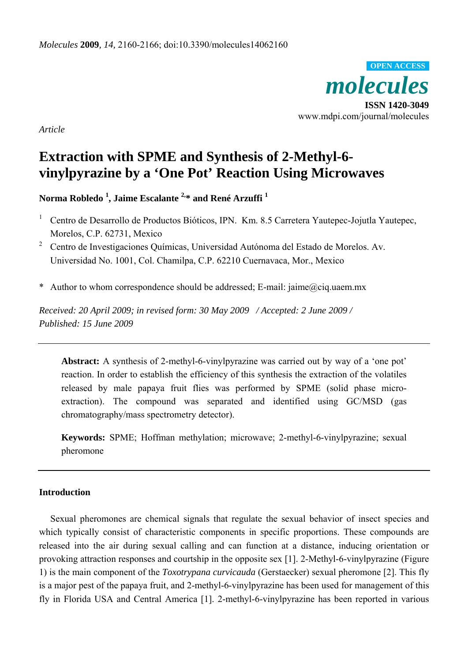*molecules*  **ISSN 1420-3049**  www.mdpi.com/journal/molecules **OPEN ACCESS**

*Article* 

# **Extraction with SPME and Synthesis of 2-Methyl-6 vinylpyrazine by a 'One Pot' Reaction Using Microwaves**

**Norma Robledo 1 , Jaime Escalante 2,\* and René Arzuffi 1**

- <sup>1</sup> Centro de Desarrollo de Productos Bióticos, IPN. Km. 8.5 Carretera Yautepec-Jojutla Yautepec, Morelos, C.P. 62731, Mexico
- <sup>2</sup> Centro de Investigaciones Ouímicas, Universidad Autónoma del Estado de Morelos, Av. Universidad No. 1001, Col. Chamilpa, C.P. 62210 Cuernavaca, Mor., Mexico
- \* Author to whom correspondence should be addressed; E-mail: jaime@ciq.uaem.mx

*Received: 20 April 2009; in revised form: 30 May 2009 / Accepted: 2 June 2009 / Published: 15 June 2009* 

**Abstract:** A synthesis of 2-methyl-6-vinylpyrazine was carried out by way of a 'one pot' reaction. In order to establish the efficiency of this synthesis the extraction of the volatiles released by male papaya fruit flies was performed by SPME (solid phase microextraction). The compound was separated and identified using GC/MSD (gas chromatography/mass spectrometry detector).

**Keywords:** SPME; Hoffman methylation; microwave; 2-methyl-6-vinylpyrazine; sexual pheromone

## **Introduction**

Sexual pheromones are chemical signals that regulate the sexual behavior of insect species and which typically consist of characteristic components in specific proportions. These compounds are released into the air during sexual calling and can function at a distance, inducing orientation or provoking attraction responses and courtship in the opposite sex [1]. 2-Methyl-6-vinylpyrazine (Figure 1) is the main component of the *Toxotrypana curvicauda* (Gerstaecker) sexual pheromone [2]. This fly is a major pest of the papaya fruit, and 2-methyl-6-vinylpyrazine has been used for management of this fly in Florida USA and Central America [1]. 2-methyl-6-vinylpyrazine has been reported in various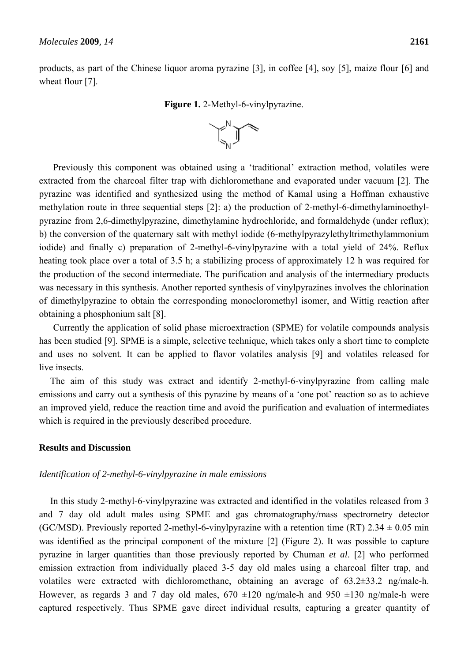products, as part of the Chinese liquor aroma pyrazine [3], in coffee [4], soy [5], maize flour [6] and wheat flour [7].

**Figure 1.** 2-Methyl-6-vinylpyrazine.



Previously this component was obtained using a 'traditional' extraction method, volatiles were extracted from the charcoal filter trap with dichloromethane and evaporated under vacuum [2]. The pyrazine was identified and synthesized using the method of Kamal using a Hoffman exhaustive methylation route in three sequential steps [2]: a) the production of 2-methyl-6-dimethylaminoethylpyrazine from 2,6-dimethylpyrazine, dimethylamine hydrochloride, and formaldehyde (under reflux); b) the conversion of the quaternary salt with methyl iodide (6-methylpyrazylethyltrimethylammonium iodide) and finally c) preparation of 2-methyl-6-vinylpyrazine with a total yield of 24%. Reflux heating took place over a total of 3.5 h; a stabilizing process of approximately 12 h was required for the production of the second intermediate. The purification and analysis of the intermediary products was necessary in this synthesis. Another reported synthesis of vinylpyrazines involves the chlorination of dimethylpyrazine to obtain the corresponding monocloromethyl isomer, and Wittig reaction after obtaining a phosphonium salt [8].

Currently the application of solid phase microextraction (SPME) for volatile compounds analysis has been studied [9]. SPME is a simple, selective technique, which takes only a short time to complete and uses no solvent. It can be applied to flavor volatiles analysis [9] and volatiles released for live insects.

The aim of this study was extract and identify 2-methyl-6-vinylpyrazine from calling male emissions and carry out a synthesis of this pyrazine by means of a 'one pot' reaction so as to achieve an improved yield, reduce the reaction time and avoid the purification and evaluation of intermediates which is required in the previously described procedure.

#### **Results and Discussion**

#### *Identification of 2-methyl-6-vinylpyrazine in male emissions*

In this study 2-methyl-6-vinylpyrazine was extracted and identified in the volatiles released from 3 and 7 day old adult males using SPME and gas chromatography/mass spectrometry detector (GC/MSD). Previously reported 2-methyl-6-vinylpyrazine with a retention time (RT)  $2.34 \pm 0.05$  min was identified as the principal component of the mixture [2] (Figure 2). It was possible to capture pyrazine in larger quantities than those previously reported by Chuman *et al*. [2] who performed emission extraction from individually placed 3-5 day old males using a charcoal filter trap, and volatiles were extracted with dichloromethane, obtaining an average of 63.2±33.2 ng/male-h. However, as regards 3 and 7 day old males,  $670 \pm 120$  ng/male-h and  $950 \pm 130$  ng/male-h were captured respectively. Thus SPME gave direct individual results, capturing a greater quantity of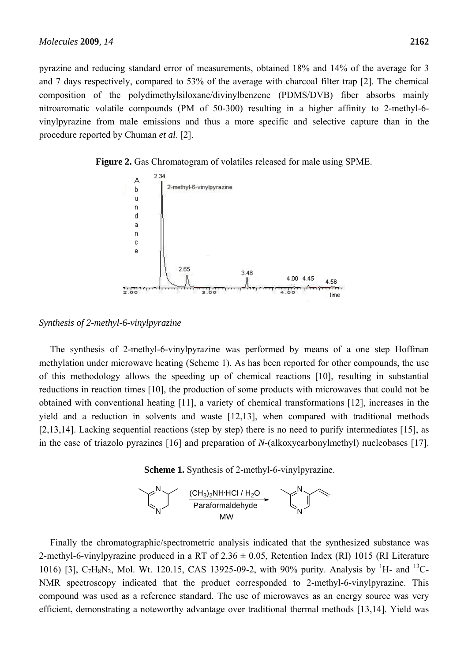pyrazine and reducing standard error of measurements, obtained 18% and 14% of the average for 3 and 7 days respectively, compared to 53% of the average with charcoal filter trap [2]. The chemical composition of the polydimethylsiloxane/divinylbenzene (PDMS/DVB) fiber absorbs mainly nitroaromatic volatile compounds (PM of 50-300) resulting in a higher affinity to 2-methyl-6 vinylpyrazine from male emissions and thus a more specific and selective capture than in the procedure reported by Chuman *et al*. [2].





*Synthesis of 2-methyl-6-vinylpyrazine* 

The synthesis of 2-methyl-6-vinylpyrazine was performed by means of a one step Hoffman methylation under microwave heating (Scheme 1). As has been reported for other compounds, the use of this methodology allows the speeding up of chemical reactions [10], resulting in substantial reductions in reaction times [10], the production of some products with microwaves that could not be obtained with conventional heating [11], a variety of chemical transformations [12], increases in the yield and a reduction in solvents and waste [12,13], when compared with traditional methods [2,13,14]. Lacking sequential reactions (step by step) there is no need to purify intermediates [15], as in the case of triazolo pyrazines [16] and preparation of *N*-(alkoxycarbonylmethyl) nucleobases [17].

**Scheme 1.** Synthesis of 2-methyl-6-vinylpyrazine.



Finally the chromatographic/spectrometric analysis indicated that the synthesized substance was 2-methyl-6-vinylpyrazine produced in a RT of  $2.36 \pm 0.05$ , Retention Index (RI) 1015 (RI Literature 1016) [3],  $C_7H_8N_2$ , Mol. Wt. 120.15, CAS 13925-09-2, with 90% purity. Analysis by <sup>1</sup>H- and <sup>13</sup>C-NMR spectroscopy indicated that the product corresponded to 2-methyl-6-vinylpyrazine. This compound was used as a reference standard. The use of microwaves as an energy source was very efficient, demonstrating a noteworthy advantage over traditional thermal methods [13,14]. Yield was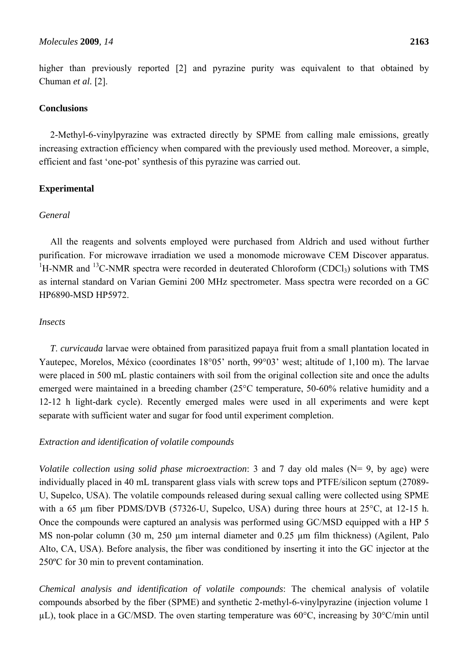higher than previously reported [2] and pyrazine purity was equivalent to that obtained by Chuman *et al.* [2].

### **Conclusions**

2-Methyl-6-vinylpyrazine was extracted directly by SPME from calling male emissions, greatly increasing extraction efficiency when compared with the previously used method. Moreover, a simple, efficient and fast 'one-pot' synthesis of this pyrazine was carried out.

## **Experimental**

#### *General*

All the reagents and solvents employed were purchased from Aldrich and used without further purification. For microwave irradiation we used a monomode microwave CEM Discover apparatus. <sup>1</sup>H-NMR and <sup>13</sup>C-NMR spectra were recorded in deuterated Chloroform (CDCl<sub>3</sub>) solutions with TMS as internal standard on Varian Gemini 200 MHz spectrometer. Mass spectra were recorded on a GC HP6890-MSD HP5972.

### *Insects*

*T*. *curvicauda* larvae were obtained from parasitized papaya fruit from a small plantation located in Yautepec, Morelos, México (coordinates 18°05' north, 99°03' west; altitude of 1,100 m). The larvae were placed in 500 mL plastic containers with soil from the original collection site and once the adults emerged were maintained in a breeding chamber (25°C temperature, 50-60% relative humidity and a 12-12 h light-dark cycle). Recently emerged males were used in all experiments and were kept separate with sufficient water and sugar for food until experiment completion.

## *Extraction and identification of volatile compounds*

*Volatile collection using solid phase microextraction*: 3 and 7 day old males (N= 9, by age) were individually placed in 40 mL transparent glass vials with screw tops and PTFE/silicon septum (27089- U, Supelco, USA). The volatile compounds released during sexual calling were collected using SPME with a 65 μm fiber PDMS/DVB (57326-U, Supelco, USA) during three hours at 25°C, at 12-15 h. Once the compounds were captured an analysis was performed using GC/MSD equipped with a HP 5 MS non-polar column (30 m, 250 µm internal diameter and 0.25 µm film thickness) (Agilent, Palo Alto, CA, USA). Before analysis, the fiber was conditioned by inserting it into the GC injector at the 250ºC for 30 min to prevent contamination.

*Chemical analysis and identification of volatile compounds*: The chemical analysis of volatile compounds absorbed by the fiber (SPME) and synthetic 2-methyl-6-vinylpyrazine (injection volume 1  $\mu$ L), took place in a GC/MSD. The oven starting temperature was 60°C, increasing by 30°C/min until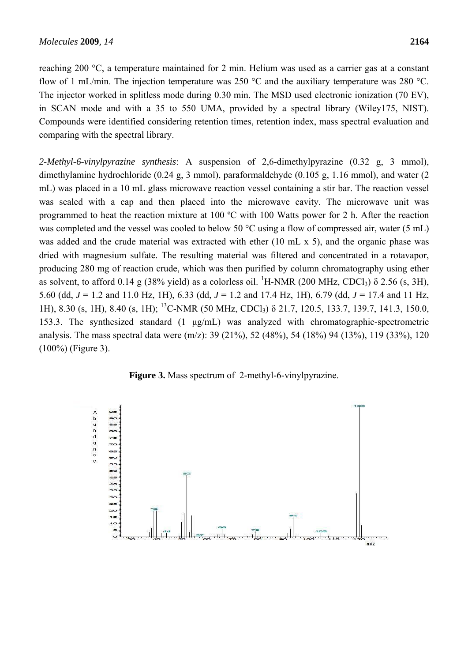reaching 200 °C, a temperature maintained for 2 min. Helium was used as a carrier gas at a constant flow of 1 mL/min. The injection temperature was 250 °C and the auxiliary temperature was 280 °C. The injector worked in splitless mode during 0.30 min. The MSD used electronic ionization (70 EV), in SCAN mode and with a 35 to 550 UMA, provided by a spectral library (Wiley175, NIST). Compounds were identified considering retention times, retention index, mass spectral evaluation and comparing with the spectral library.

*2-Methyl-6-vinylpyrazine synthesis*: A suspension of 2,6-dimethylpyrazine (0.32 g, 3 mmol), dimethylamine hydrochloride (0.24 g, 3 mmol), paraformaldehyde (0.105 g, 1.16 mmol), and water (2 mL) was placed in a 10 mL glass microwave reaction vessel containing a stir bar. The reaction vessel was sealed with a cap and then placed into the microwave cavity. The microwave unit was programmed to heat the reaction mixture at 100 ºC with 100 Watts power for 2 h. After the reaction was completed and the vessel was cooled to below 50 °C using a flow of compressed air, water (5 mL) was added and the crude material was extracted with ether (10 mL x 5), and the organic phase was dried with magnesium sulfate. The resulting material was filtered and concentrated in a rotavapor, producing 280 mg of reaction crude, which was then purified by column chromatography using ether as solvent, to afford 0.14 g (38% yield) as a colorless oil. <sup>1</sup>H-NMR (200 MHz, CDCl<sub>3</sub>)  $\delta$  2.56 (s, 3H), 5.60 (dd, *J* = 1.2 and 11.0 Hz, 1H), 6.33 (dd, *J* = 1.2 and 17.4 Hz, 1H), 6.79 (dd, *J* = 17.4 and 11 Hz, 1H), 8.30 (s, 1H), 8.40 (s, 1H); 13C-NMR (50 MHz, CDCl3) δ 21.7, 120.5, 133.7, 139.7, 141.3, 150.0, 153.3. The synthesized standard (1 μg/mL) was analyzed with chromatographic-spectrometric analysis. The mass spectral data were (m/z): 39 (21%), 52 (48%), 54 (18%) 94 (13%), 119 (33%), 120 (100%) (Figure 3).

**Figure 3.** Mass spectrum of 2-methyl-6-vinylpyrazine.

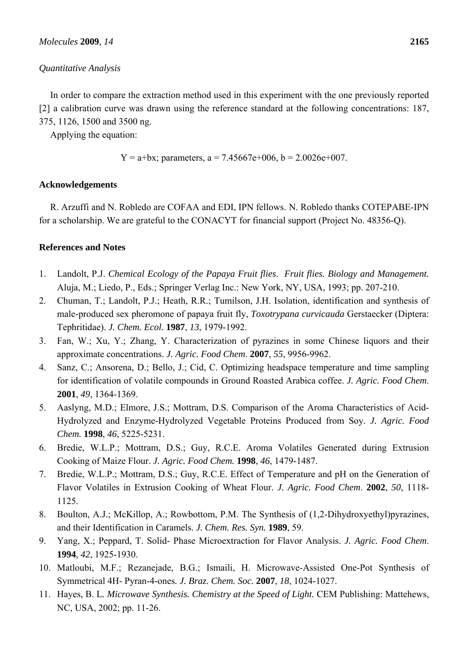#### *Quantitative Analysis*

In order to compare the extraction method used in this experiment with the one previously reported [2] a calibration curve was drawn using the reference standard at the following concentrations: 187, 375, 1126, 1500 and 3500 ng.

Applying the equation:

$$
Y = a + bx
$$
; parameters,  $a = 7.45667e + 006$ ,  $b = 2.0026e + 007$ .

### **Acknowledgements**

R. Arzuffi and N. Robledo are COFAA and EDI, IPN fellows. N. Robledo thanks COTEPABE-IPN for a scholarship. We are grateful to the CONACYT for financial support (Project No. 48356-Q).

## **References and Notes**

- 1. Landolt, P.J. *Chemical Ecology of the Papaya Fruit flies*. *Fruit flies. Biology and Management.* Aluja, M.; Liedo, P., Eds.; Springer Verlag Inc.: New York, NY, USA, 1993; pp. 207-210.
- 2. Chuman, T.; Landolt, P.J.; Heath, R.R.; Tumilson, J.H. Isolation, identification and synthesis of male-produced sex pheromone of papaya fruit fly, *Toxotrypana curvicauda* Gerstaecker (Diptera: Tephritidae). *J. Chem. Ecol.* **1987**, *13*, 1979-1992.
- 3. Fan, W.; Xu, Y.; Zhang, Y. Characterization of pyrazines in some Chinese liquors and their approximate concentrations. *J. Agric. Food Chem*. **2007**, *55*, 9956-9962.
- 4. Sanz, C.; Ansorena, D.; Bello, J.; Cid, C. Optimizing headspace temperature and time sampling for identification of volatile compounds in Ground Roasted Arabica coffee. *J. Agric. Food Chem*. **2001**, *49*, 1364-1369.
- 5. Aaslyng, M.D.; Elmore, J.S.; Mottram, D.S. Comparison of the Aroma Characteristics of Acid-Hydrolyzed and Enzyme-Hydrolyzed Vegetable Proteins Produced from Soy. *J. Agric. Food Chem.* **1998**, *46*, 5225-5231.
- 6. Bredie, W.L.P.; Mottram, D.S.; Guy, R.C.E. Aroma Volatiles Generated during Extrusion Cooking of Maize Flour. *J. Agric. Food Chem.* **1998**, *46*, 1479-1487.
- 7. Bredie, W.L.P.; Mottram, D.S.; Guy, R.C.E. Effect of Temperature and pH on the Generation of Flavor Volatiles in Extrusion Cooking of Wheat Flour. *J. Agric. Food Chem*. **2002**, *50*, 1118- 1125.
- 8. Boulton, A.J.; McKillop, A.; Rowbottom, P.M. The Synthesis of (1,2-Dihydroxyethyl)pyrazines, and their Identification in Caramels. *J. Chem. Res. Syn.* **1989**, 59.
- 9. Yang, X.; Peppard, T. Solid- Phase Microextraction for Flavor Analysis. *J. Agric. Food Chem*. **1994**, *42*, 1925-1930.
- 10. Matloubi, M.F.; Rezanejade, B.G.; Ismaili, H. Microwave-Assisted One-Pot Synthesis of Symmetrical 4H- Pyran-4-ones*. J. Braz. Chem. Soc.* **2007**, *18*, 1024-1027.
- 11. Hayes, B. L*. Microwave Synthesis. Chemistry at the Speed of Light.* CEM Publishing: Mattehews, NC, USA, 2002; pp. 11-26.